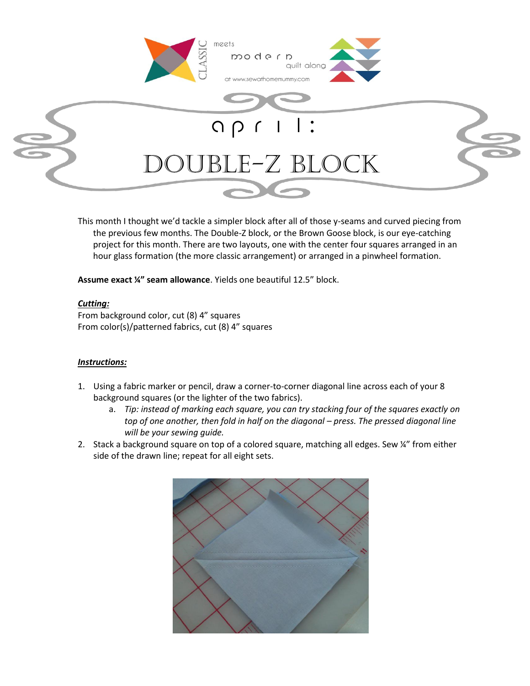

This month I thought we'd tackle a simpler block after all of those y-seams and curved piecing from the previous few months. The Double-Z block, or the Brown Goose block, is our eye-catching project for this month. There are two layouts, one with the center four squares arranged in an hour glass formation (the more classic arrangement) or arranged in a pinwheel formation.

**Assume exact ¼" seam allowance**. Yields one beautiful 12.5" block.

## *Cutting:*

From background color, cut (8) 4" squares From color(s)/patterned fabrics, cut (8) 4" squares

## *Instructions:*

- 1. Using a fabric marker or pencil, draw a corner-to-corner diagonal line across each of your 8 background squares (or the lighter of the two fabrics).
	- a. *Tip: instead of marking each square, you can try stacking four of the squares exactly on top of one another, then fold in half on the diagonal – press. The pressed diagonal line will be your sewing guide.*
- 2. Stack a background square on top of a colored square, matching all edges. Sew ¼" from either side of the drawn line; repeat for all eight sets.

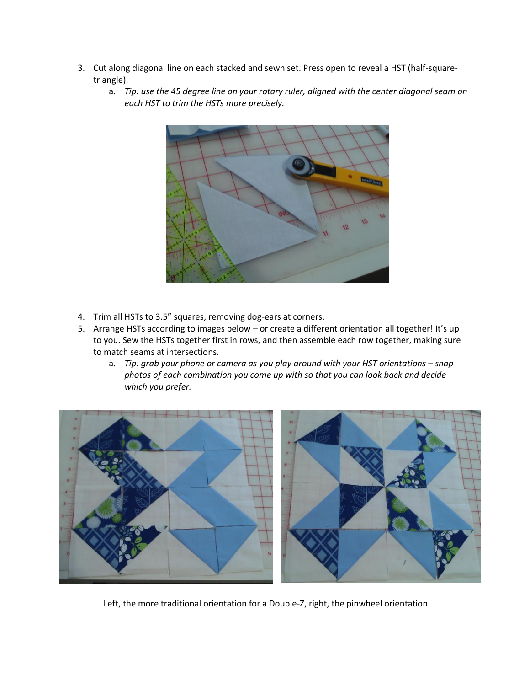- 3. Cut along diagonal line on each stacked and sewn set. Press open to reveal a HST (half-squaretriangle).
	- a. *Tip: use the 45 degree line on your rotary ruler, aligned with the center diagonal seam on each HST to trim the HSTs more precisely.*



- 4. Trim all HSTs to 3.5" squares, removing dog-ears at corners.
- 5. Arrange HSTs according to images below or create a different orientation all together! It's up to you. Sew the HSTs together first in rows, and then assemble each row together, making sure to match seams at intersections.
	- a. *Tip: grab your phone or camera as you play around with your HST orientations – snap photos of each combination you come up with so that you can look back and decide which you prefer.*



Left, the more traditional orientation for a Double-Z, right, the pinwheel orientation